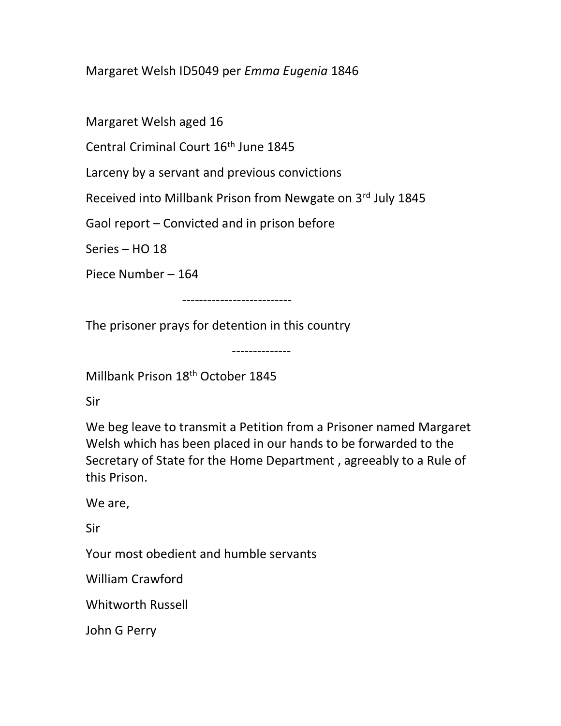Margaret Welsh ID5049 per Emma Eugenia 1846

Margaret Welsh aged 16

Central Criminal Court 16<sup>th</sup> June 1845

Larceny by a servant and previous convictions

Received into Millbank Prison from Newgate on 3rd July 1845

Gaol report – Convicted and in prison before

Series – HO 18

Piece Number – 164

--------------------------

The prisoner prays for detention in this country

--------------

Millbank Prison 18th October 1845

Sir

We beg leave to transmit a Petition from a Prisoner named Margaret Welsh which has been placed in our hands to be forwarded to the Secretary of State for the Home Department , agreeably to a Rule of this Prison.

We are,

Sir

Your most obedient and humble servants

William Crawford

Whitworth Russell

John G Perry